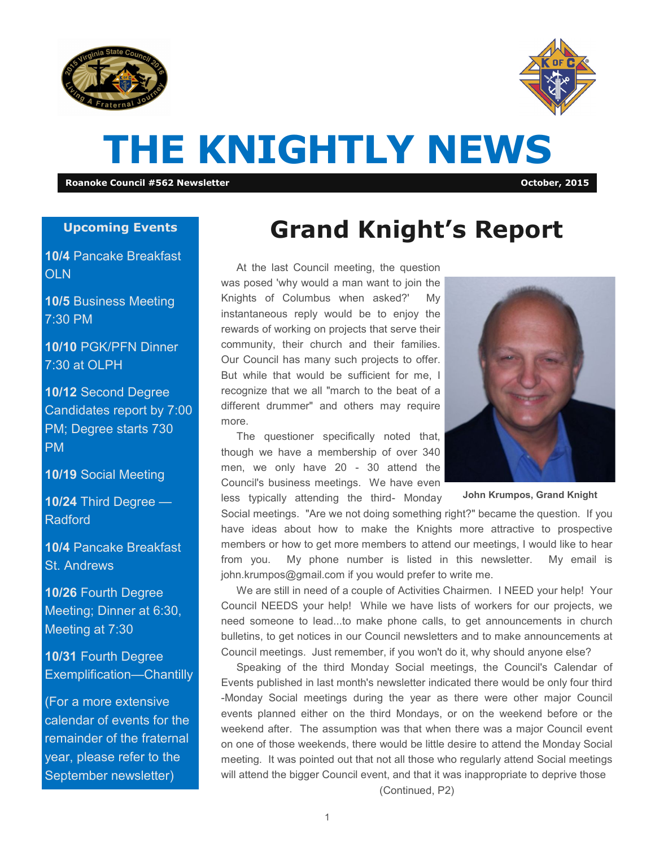



# **THE KNIGHTLY NEWS**

**Roanoke Council #562 Newsletter October, 2015**

#### **Upcoming Events**

**10/4** Pancake Breakfast OLN

**10/5** Business Meeting 7:30 PM

**10/10** PGK/PFN Dinner 7:30 at OLPH

**10/12** Second Degree Candidates report by 7:00 PM; Degree starts 730 PM

**10/19** Social Meeting

**10/24** Third Degree — Radford

**10/4** Pancake Breakfast St. Andrews

**10/26** Fourth Degree Meeting; Dinner at 6:30, Meeting at 7:30

**10/31** Fourth Degree Exemplification—Chantilly

(For a more extensive calendar of events for the remainder of the fraternal year, please refer to the September newsletter)

### **Grand Knight's Report**

At the last Council meeting, the question was posed 'why would a man want to join the Knights of Columbus when asked?' My instantaneous reply would be to enjoy the rewards of working on projects that serve their community, their church and their families. Our Council has many such projects to offer. But while that would be sufficient for me, I recognize that we all "march to the beat of a different drummer" and others may require more.

The questioner specifically noted that, though we have a membership of over 340 men, we only have 20 - 30 attend the Council's business meetings. We have even

less typically attending the third- Monday

Social meetings. "Are we not doing something right?" became the question. If you have ideas about how to make the Knights more attractive to prospective members or how to get more members to attend our meetings, I would like to hear from you. My phone number is listed in this newsletter. My email is john.krumpos@gmail.com if you would prefer to write me.

We are still in need of a couple of Activities Chairmen. I NEED your help! Your Council NEEDS your help! While we have lists of workers for our projects, we need someone to lead...to make phone calls, to get announcements in church bulletins, to get notices in our Council newsletters and to make announcements at Council meetings. Just remember, if you won't do it, why should anyone else?

Speaking of the third Monday Social meetings, the Council's Calendar of Events published in last month's newsletter indicated there would be only four third -Monday Social meetings during the year as there were other major Council events planned either on the third Mondays, or on the weekend before or the weekend after. The assumption was that when there was a major Council event on one of those weekends, there would be little desire to attend the Monday Social meeting. It was pointed out that not all those who regularly attend Social meetings will attend the bigger Council event, and that it was inappropriate to deprive those (Continued, P2)



**John Krumpos, Grand Knight**

1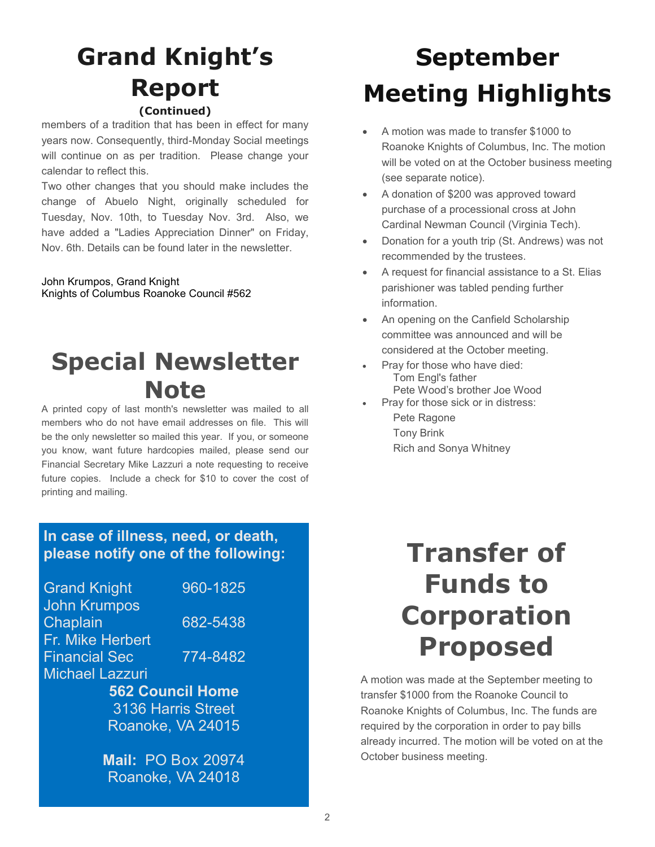### **Grand Knight's Report (Continued)**

members of a tradition that has been in effect for many years now. Consequently, third-Monday Social meetings will continue on as per tradition. Please change your calendar to reflect this.

Two other changes that you should make includes the change of Abuelo Night, originally scheduled for Tuesday, Nov. 10th, to Tuesday Nov. 3rd. Also, we have added a "Ladies Appreciation Dinner" on Friday, Nov. 6th. Details can be found later in the newsletter.

John Krumpos, Grand Knight Knights of Columbus Roanoke Council #562

### **Special Newsletter Note**

A printed copy of last month's newsletter was mailed to all members who do not have email addresses on file. This will be the only newsletter so mailed this year. If you, or someone you know, want future hardcopies mailed, please send our Financial Secretary Mike Lazzuri a note requesting to receive future copies. Include a check for \$10 to cover the cost of printing and mailing.

#### **In case of illness, need, or death, please notify one of the following:**

| 960-1825                |  |  |  |  |
|-------------------------|--|--|--|--|
|                         |  |  |  |  |
| 682-5438                |  |  |  |  |
|                         |  |  |  |  |
| 774-8482                |  |  |  |  |
|                         |  |  |  |  |
| <b>562 Council Home</b> |  |  |  |  |
| 3136 Harris Street      |  |  |  |  |
| Roanoke, VA 24015       |  |  |  |  |
|                         |  |  |  |  |

**Mail:** PO Box 20974 Roanoke, VA 24018

# **September Meeting Highlights**

- A motion was made to transfer \$1000 to Roanoke Knights of Columbus, Inc. The motion will be voted on at the October business meeting (see separate notice).
- A donation of \$200 was approved toward purchase of a processional cross at John Cardinal Newman Council (Virginia Tech).
- Donation for a youth trip (St. Andrews) was not recommended by the trustees.
- A request for financial assistance to a St. Elias parishioner was tabled pending further information.
- An opening on the Canfield Scholarship committee was announced and will be considered at the October meeting.
- Pray for those who have died: Tom Engl's father Pete Wood's brother Joe Wood
- Pray for those sick or in distress:
	- Pete Ragone Tony Brink Rich and Sonya Whitney

# **Transfer of Funds to Corporation Proposed**

A motion was made at the September meeting to transfer \$1000 from the Roanoke Council to Roanoke Knights of Columbus, Inc. The funds are required by the corporation in order to pay bills already incurred. The motion will be voted on at the October business meeting.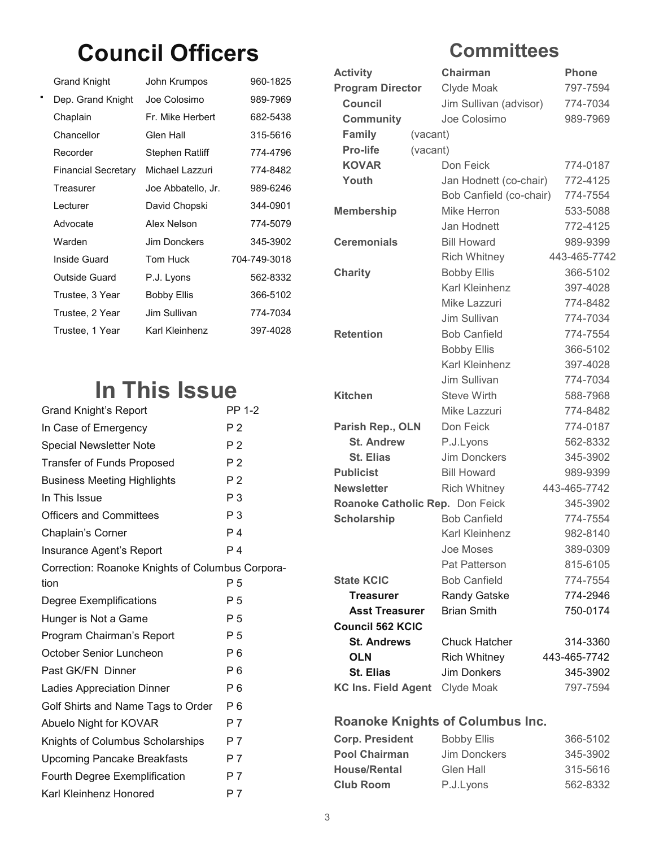### **Council Officers**

| Grand Knight        | John Krumpos       | 960-1825     |
|---------------------|--------------------|--------------|
| Dep. Grand Knight   | Joe Colosimo       | 989-7969     |
| Chaplain            | Fr. Mike Herbert   | 682-5438     |
| Chancellor          | Glen Hall          | 315-5616     |
| Recorder            | Stephen Ratliff    | 774-4796     |
| Financial Secretary | Michael Lazzuri    | 774-8482     |
| Treasurer           | Joe Abbatello, Jr. | 989-6246     |
| I ecturer           | David Chopski      | 344-0901     |
| Advocate            | Alex Nelson        | 774-5079     |
| Warden              | Jim Donckers       | 345-3902     |
| Inside Guard        | Tom Huck           | 704-749-3018 |
| Outside Guard       | P.J. Lyons         | 562-8332     |
| Trustee, 3 Year     | <b>Bobby Ellis</b> | 366-5102     |
| Trustee, 2 Year     | Jim Sullivan       | 774-7034     |
| Trustee, 1 Year     | Karl Kleinhenz     | 397-4028     |

### **In This Issue**

| <b>Grand Knight's Report</b>                     | PP 1-2         |  |
|--------------------------------------------------|----------------|--|
| In Case of Emergency                             | P <sub>2</sub> |  |
| <b>Special Newsletter Note</b>                   | P <sub>2</sub> |  |
| <b>Transfer of Funds Proposed</b>                | P <sub>2</sub> |  |
| <b>Business Meeting Highlights</b>               | P <sub>2</sub> |  |
| In This Issue                                    | P <sub>3</sub> |  |
| <b>Officers and Committees</b>                   | P <sub>3</sub> |  |
| Chaplain's Corner                                | P 4            |  |
| Insurance Agent's Report                         | P <sub>4</sub> |  |
| Correction: Roanoke Knights of Columbus Corpora- |                |  |
| tion                                             | P 5            |  |
| Degree Exemplifications                          | P 5            |  |
| Hunger is Not a Game                             | P 5            |  |
| Program Chairman's Report                        | P 5            |  |
| October Senior Luncheon                          | P <sub>6</sub> |  |
| Past GK/FN Dinner                                | P <sub>6</sub> |  |
| <b>Ladies Appreciation Dinner</b>                | P 6            |  |
| Golf Shirts and Name Tags to Order               | P <sub>6</sub> |  |
| Abuelo Night for KOVAR                           | P 7            |  |
| Knights of Columbus Scholarships                 | P 7            |  |
| <b>Upcoming Pancake Breakfasts</b>               | P <sub>7</sub> |  |
| Fourth Degree Exemplification                    | P <sub>7</sub> |  |
| Karl Kleinhenz Honored                           | P 7            |  |
|                                                  |                |  |

### **Committees**

| <b>Activity</b>                 | Chairman                | <b>Phone</b> |
|---------------------------------|-------------------------|--------------|
| <b>Program Director</b>         | Clyde Moak              | 797-7594     |
| <b>Council</b>                  | Jim Sullivan (advisor)  | 774-7034     |
| <b>Community</b>                | Joe Colosimo            | 989-7969     |
| <b>Family</b><br>(vacant)       |                         |              |
| Pro-life<br>(vacant)            |                         |              |
| <b>KOVAR</b>                    | Don Feick               | 774-0187     |
| Youth                           | Jan Hodnett (co-chair)  | 772-4125     |
|                                 | Bob Canfield (co-chair) | 774-7554     |
| <b>Membership</b>               | Mike Herron             | 533-5088     |
|                                 | Jan Hodnett             | 772-4125     |
| <b>Ceremonials</b>              | <b>Bill Howard</b>      | 989-9399     |
|                                 | <b>Rich Whitney</b>     | 443-465-7742 |
| <b>Charity</b>                  | <b>Bobby Ellis</b>      | 366-5102     |
|                                 | Karl Kleinhenz          | 397-4028     |
|                                 | Mike Lazzuri            | 774-8482     |
|                                 | Jim Sullivan            | 774-7034     |
| <b>Retention</b>                | <b>Bob Canfield</b>     | 774-7554     |
|                                 | <b>Bobby Ellis</b>      | 366-5102     |
|                                 | <b>Karl Kleinhenz</b>   | 397-4028     |
|                                 | Jim Sullivan            | 774-7034     |
| Kitchen                         | <b>Steve Wirth</b>      | 588-7968     |
|                                 | Mike Lazzuri            | 774-8482     |
| Parish Rep., OLN                | Don Feick               | 774-0187     |
| <b>St. Andrew</b>               | P.J.Lyons               | 562-8332     |
| <b>St. Elias</b>                | <b>Jim Donckers</b>     | 345-3902     |
| <b>Publicist</b>                | <b>Bill Howard</b>      | 989-9399     |
| <b>Newsletter</b>               | <b>Rich Whitney</b>     | 443-465-7742 |
| Roanoke Catholic Rep. Don Feick |                         | 345-3902     |
| <b>Scholarship</b>              | <b>Bob Canfield</b>     | 774-7554     |
|                                 | Karl Kleinhenz          | 982-8140     |
|                                 | Joe Moses               | 389-0309     |
|                                 | Pat Patterson           | 815-6105     |
| <b>State KCIC</b>               | <b>Bob Canfield</b>     | 774-7554     |
| <b>Treasurer</b>                | Randy Gatske            | 774-2946     |
| <b>Asst Treasurer</b>           | <b>Brian Smith</b>      | 750-0174     |
| <b>Council 562 KCIC</b>         |                         |              |
| <b>St. Andrews</b>              | <b>Chuck Hatcher</b>    | 314-3360     |
| <b>OLN</b>                      | <b>Rich Whitney</b>     | 443-465-7742 |
| <b>St. Elias</b>                | Jim Donkers             | 345-3902     |
| KC Ins. Field Agent Clyde Moak  |                         | 797-7594     |

#### **Roanoke Knights of Columbus Inc.**

| <b>Corp. President</b> | <b>Bobby Ellis</b> | 366-5102 |
|------------------------|--------------------|----------|
| <b>Pool Chairman</b>   | Jim Donckers       | 345-3902 |
| <b>House/Rental</b>    | Glen Hall          | 315-5616 |
| <b>Club Room</b>       | P.J.Lyons          | 562-8332 |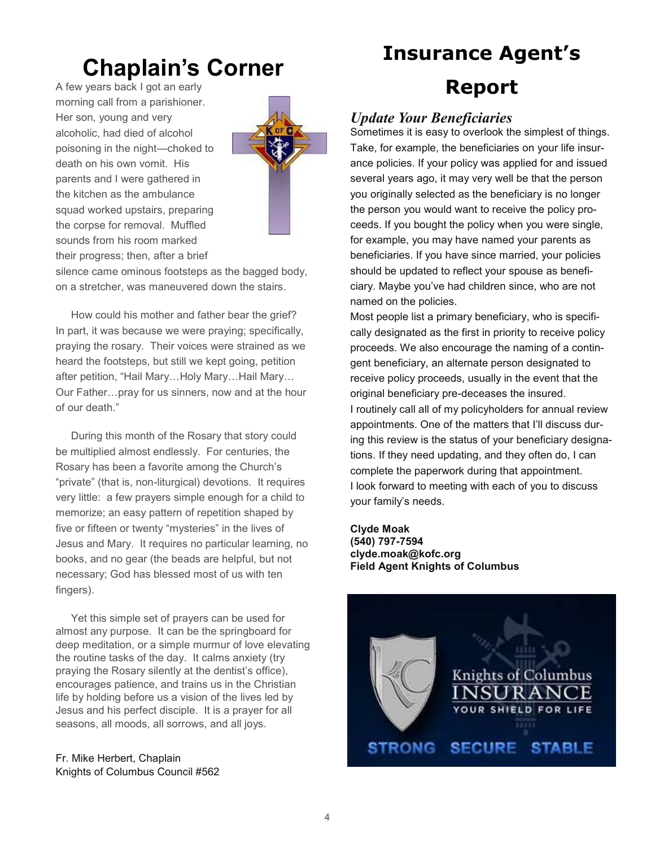### **Chaplain's Corner**

A few years back I got an early morning call from a parishioner. Her son, young and very alcoholic, had died of alcohol poisoning in the night—choked to death on his own vomit. His parents and I were gathered in the kitchen as the ambulance squad worked upstairs, preparing the corpse for removal. Muffled sounds from his room marked their progress; then, after a brief



silence came ominous footsteps as the bagged body, on a stretcher, was maneuvered down the stairs.

How could his mother and father bear the grief? In part, it was because we were praying; specifically, praying the rosary. Their voices were strained as we heard the footsteps, but still we kept going, petition after petition, "Hail Mary...Holy Mary...Hail Mary... Our Father…pray for us sinners, now and at the hour of our death."

During this month of the Rosary that story could be multiplied almost endlessly. For centuries, the Rosary has been a favorite among the Church's "private" (that is, non-liturgical) devotions. It requires very little: a few prayers simple enough for a child to memorize; an easy pattern of repetition shaped by five or fifteen or twenty "mysteries" in the lives of Jesus and Mary. It requires no particular learning, no books, and no gear (the beads are helpful, but not necessary; God has blessed most of us with ten fingers).

Yet this simple set of prayers can be used for almost any purpose. It can be the springboard for deep meditation, or a simple murmur of love elevating the routine tasks of the day. It calms anxiety (try praying the Rosary silently at the dentist's office), encourages patience, and trains us in the Christian life by holding before us a vision of the lives led by Jesus and his perfect disciple. It is a prayer for all seasons, all moods, all sorrows, and all joys.

Fr. Mike Herbert, Chaplain Knights of Columbus Council #562

### **Insurance Agent's**

### **Report**

#### *Update Your Beneficiaries*

Sometimes it is easy to overlook the simplest of things. Take, for example, the beneficiaries on your life insurance policies. If your policy was applied for and issued several years ago, it may very well be that the person you originally selected as the beneficiary is no longer the person you would want to receive the policy proceeds. If you bought the policy when you were single, for example, you may have named your parents as beneficiaries. If you have since married, your policies should be updated to reflect your spouse as beneficiary. Maybe you've had children since, who are not named on the policies.

Most people list a primary beneficiary, who is specifically designated as the first in priority to receive policy proceeds. We also encourage the naming of a contingent beneficiary, an alternate person designated to receive policy proceeds, usually in the event that the original beneficiary pre-deceases the insured. I routinely call all of my policyholders for annual review appointments. One of the matters that I'll discuss during this review is the status of your beneficiary designations. If they need updating, and they often do, I can complete the paperwork during that appointment. I look forward to meeting with each of you to discuss your family's needs.

#### **Clyde Moak (540) 797-7594 clyde.moak@kofc.org Field Agent Knights of Columbus**

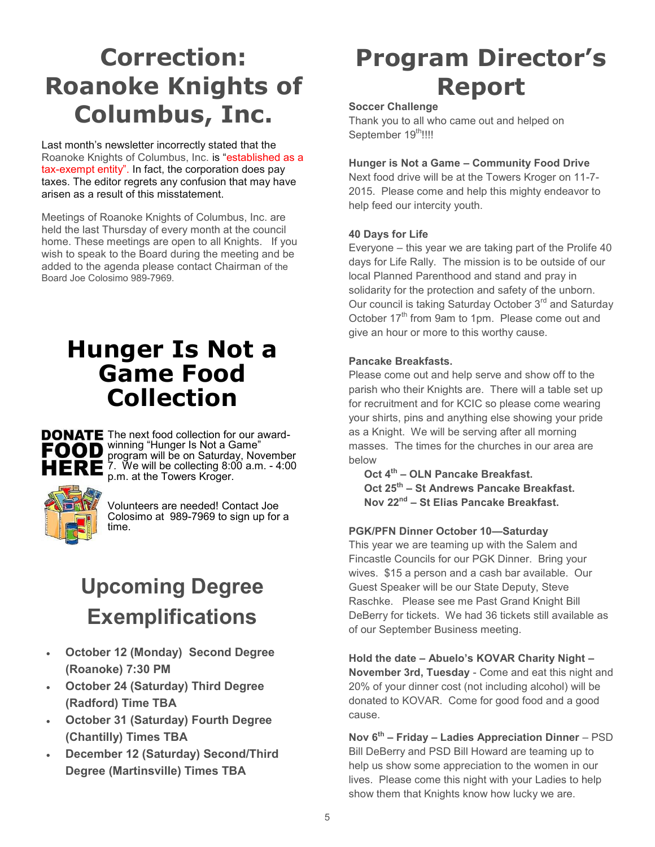## **Correction: Roanoke Knights of Columbus, Inc.**

Last month's newsletter incorrectly stated that the Roanoke Knights of Columbus, Inc. is "established as a tax-exempt entity". In fact, the corporation does pay taxes. The editor regrets any confusion that may have arisen as a result of this misstatement.

Meetings of Roanoke Knights of Columbus, Inc. are held the last Thursday of every month at the council home. These meetings are open to all Knights. If you wish to speak to the Board during the meeting and be added to the agenda please contact Chairman of the Board Joe Colosimo 989-7969.

### **Hunger Is Not a Game Food Collection**



DONATE The next food collection for our awardwinning "Hunger Is Not a Game" program will be on Saturday, November 7. We will be collecting 8:00 a.m. - 4:00 p.m. at the Towers Kroger.



Volunteers are needed! Contact Joe Colosimo at 989-7969 to sign up for a time.

### **Upcoming Degree Exemplifications**

- **October 12 (Monday) Second Degree (Roanoke) 7:30 PM**
- **October 24 (Saturday) Third Degree (Radford) Time TBA**
- **October 31 (Saturday) Fourth Degree (Chantilly) Times TBA**
- **December 12 (Saturday) Second/Third Degree (Martinsville) Times TBA**

# **Program Director's Report**

#### **Soccer Challenge**

Thank you to all who came out and helped on September 19<sup>th</sup>!!!!

#### **Hunger is Not a Game – Community Food Drive**

Next food drive will be at the Towers Kroger on 11-7- 2015. Please come and help this mighty endeavor to help feed our intercity youth.

#### **40 Days for Life**

Everyone – this year we are taking part of the Prolife 40 days for Life Rally. The mission is to be outside of our local Planned Parenthood and stand and pray in solidarity for the protection and safety of the unborn. Our council is taking Saturday October 3<sup>rd</sup> and Saturday October 17<sup>th</sup> from 9am to 1pm. Please come out and give an hour or more to this worthy cause.

#### **Pancake Breakfasts.**

Please come out and help serve and show off to the parish who their Knights are. There will a table set up for recruitment and for KCIC so please come wearing your shirts, pins and anything else showing your pride as a Knight. We will be serving after all morning masses. The times for the churches in our area are below

**Oct 4th – OLN Pancake Breakfast. Oct 25th – St Andrews Pancake Breakfast. Nov 22nd – St Elias Pancake Breakfast.**

#### **PGK/PFN Dinner October 10—Saturday**

This year we are teaming up with the Salem and Fincastle Councils for our PGK Dinner. Bring your wives. \$15 a person and a cash bar available. Our Guest Speaker will be our State Deputy, Steve Raschke. Please see me Past Grand Knight Bill DeBerry for tickets. We had 36 tickets still available as of our September Business meeting.

**Hold the date – Abuelo's KOVAR Charity Night – November 3rd, Tuesday** - Come and eat this night and 20% of your dinner cost (not including alcohol) will be donated to KOVAR. Come for good food and a good cause.

**Nov 6th – Friday – Ladies Appreciation Dinner** – PSD Bill DeBerry and PSD Bill Howard are teaming up to help us show some appreciation to the women in our lives. Please come this night with your Ladies to help show them that Knights know how lucky we are.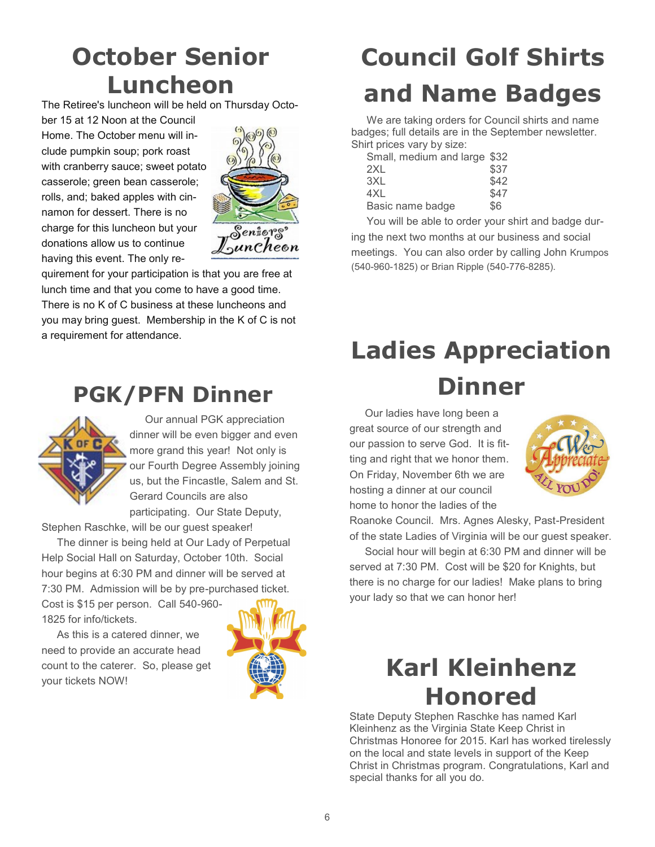# **October Senior Luncheon**

The Retiree's luncheon will be held on Thursday Octo-

ber 15 at 12 Noon at the Council Home. The October menu will include pumpkin soup; pork roast with cranberry sauce; sweet potato casserole; green bean casserole; rolls, and; baked apples with cinnamon for dessert. There is no charge for this luncheon but your donations allow us to continue having this event. The only re-



quirement for your participation is that you are free at lunch time and that you come to have a good time. There is no K of C business at these luncheons and you may bring guest. Membership in the K of C is not a requirement for attendance.

### **PGK/PFN Dinner**



Our annual PGK appreciation dinner will be even bigger and even more grand this year! Not only is our Fourth Degree Assembly joining us, but the Fincastle, Salem and St. Gerard Councils are also participating. Our State Deputy,

Stephen Raschke, will be our guest speaker!

The dinner is being held at Our Lady of Perpetual Help Social Hall on Saturday, October 10th. Social hour begins at 6:30 PM and dinner will be served at 7:30 PM. Admission will be by pre-purchased ticket.

Cost is \$15 per person. Call 540-960- 1825 for info/tickets.

As this is a catered dinner, we need to provide an accurate head count to the caterer. So, please get your tickets NOW!



# **Council Golf Shirts and Name Badges**

We are taking orders for Council shirts and name badges; full details are in the September newsletter. Shirt prices vary by size:

| Small, medium and large \$32 |      |
|------------------------------|------|
| 2XL                          | \$37 |
| 3XL                          | \$42 |
| 4XL                          | \$47 |
| Basic name badge             | \$6  |
|                              |      |

You will be able to order your shirt and badge during the next two months at our business and social meetings. You can also order by calling John Krumpos (540-960-1825) or Brian Ripple (540-776-8285).

# **Ladies Appreciation Dinner**

Our ladies have long been a great source of our strength and our passion to serve God. It is fitting and right that we honor them. On Friday, November 6th we are hosting a dinner at our council home to honor the ladies of the



Roanoke Council. Mrs. Agnes Alesky, Past-President of the state Ladies of Virginia will be our guest speaker.

Social hour will begin at 6:30 PM and dinner will be served at 7:30 PM. Cost will be \$20 for Knights, but there is no charge for our ladies! Make plans to bring your lady so that we can honor her!

### **Karl Kleinhenz Honored**

State Deputy Stephen Raschke has named Karl Kleinhenz as the Virginia State Keep Christ in Christmas Honoree for 2015. Karl has worked tirelessly on the local and state levels in support of the Keep Christ in Christmas program. Congratulations, Karl and special thanks for all you do.